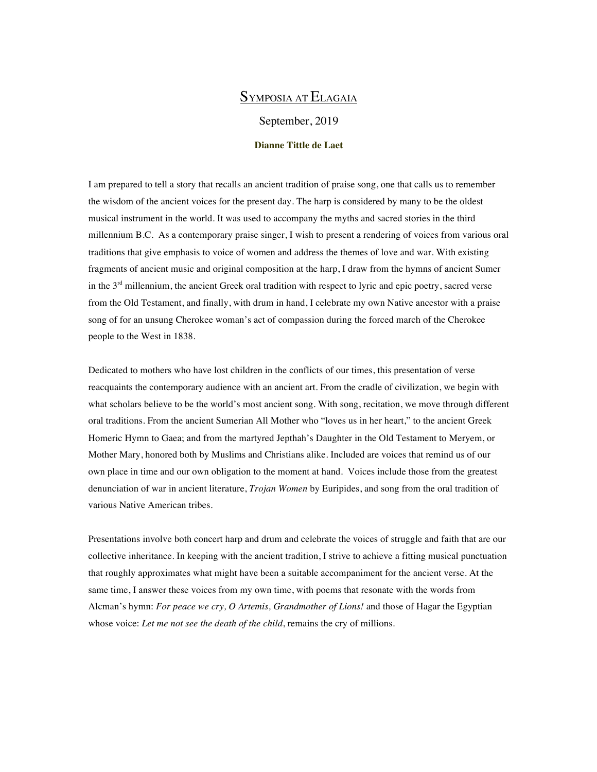# SYMPOSIA AT ELAGAIA

September, 2019

### **Dianne Tittle de Laet**

I am prepared to tell a story that recalls an ancient tradition of praise song, one that calls us to remember the wisdom of the ancient voices for the present day. The harp is considered by many to be the oldest musical instrument in the world. It was used to accompany the myths and sacred stories in the third millennium B.C. As a contemporary praise singer, I wish to present a rendering of voices from various oral traditions that give emphasis to voice of women and address the themes of love and war. With existing fragments of ancient music and original composition at the harp, I draw from the hymns of ancient Sumer in the  $3<sup>rd</sup>$  millennium, the ancient Greek oral tradition with respect to lyric and epic poetry, sacred verse from the Old Testament, and finally, with drum in hand, I celebrate my own Native ancestor with a praise song of for an unsung Cherokee woman's act of compassion during the forced march of the Cherokee people to the West in 1838.

Dedicated to mothers who have lost children in the conflicts of our times, this presentation of verse reacquaints the contemporary audience with an ancient art. From the cradle of civilization, we begin with what scholars believe to be the world's most ancient song. With song, recitation, we move through different oral traditions. From the ancient Sumerian All Mother who "loves us in her heart," to the ancient Greek Homeric Hymn to Gaea; and from the martyred Jepthah's Daughter in the Old Testament to Meryem, or Mother Mary, honored both by Muslims and Christians alike. Included are voices that remind us of our own place in time and our own obligation to the moment at hand. Voices include those from the greatest denunciation of war in ancient literature, *Trojan Women* by Euripides, and song from the oral tradition of various Native American tribes.

Presentations involve both concert harp and drum and celebrate the voices of struggle and faith that are our collective inheritance. In keeping with the ancient tradition, I strive to achieve a fitting musical punctuation that roughly approximates what might have been a suitable accompaniment for the ancient verse. At the same time, I answer these voices from my own time, with poems that resonate with the words from Alcman's hymn: *For peace we cry, O Artemis, Grandmother of Lions!* and those of Hagar the Egyptian whose voice: *Let me not see the death of the child*, remains the cry of millions.